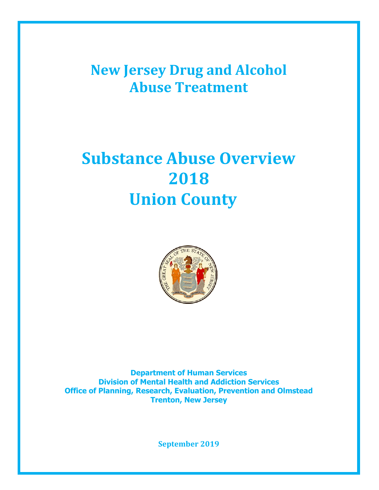**New Jersey Drug and Alcohol Abuse Treatment**

# **Substance Abuse Overview 2018 Union County**



**Department of Human Services Division of Mental Health and Addiction Services Office of Planning, Research, Evaluation, Prevention and Olmstead Trenton, New Jersey**

**September 2019**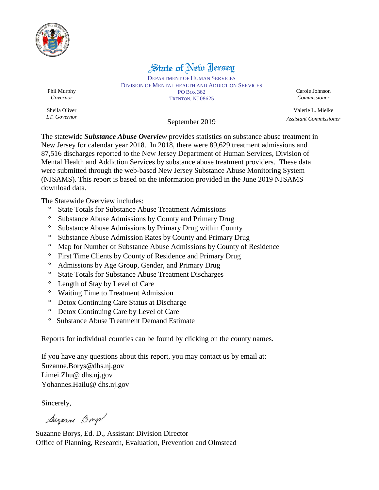

## State of New Jersey

DEPARTMENT OF HUMAN SERVICES DIVISION OF MENTAL HEALTH AND ADDICTION SERVICES PO BOX 362 TRENTON, NJ 08625

Carole Johnson *Commissioner*

Valerie L. Mielke *Assistant Commissioner*

Phil Murphy *Governor*

Sheila Oliver *LT. Governor*

### September 2019

The statewide *Substance Abuse Overview* provides statistics on substance abuse treatment in New Jersey for calendar year 2018. In 2018, there were 89,629 treatment admissions and 87,516 discharges reported to the New Jersey Department of Human Services, Division of Mental Health and Addiction Services by substance abuse treatment providers. These data were submitted through the web-based New Jersey Substance Abuse Monitoring System (NJSAMS). This report is based on the information provided in the June 2019 NJSAMS download data.

The Statewide Overview includes:

- **°** State Totals for Substance Abuse Treatment Admissions
- **°** Substance Abuse Admissions by County and Primary Drug
- **°** Substance Abuse Admissions by Primary Drug within County
- **°** Substance Abuse Admission Rates by County and Primary Drug
- **°** Map for Number of Substance Abuse Admissions by County of Residence
- **°** First Time Clients by County of Residence and Primary Drug
- **°** Admissions by Age Group, Gender, and Primary Drug
- **°** State Totals for Substance Abuse Treatment Discharges
- **°** Length of Stay by Level of Care
- **°** Waiting Time to Treatment Admission
- **°** Detox Continuing Care Status at Discharge
- **°** Detox Continuing Care by Level of Care
- **°** Substance Abuse Treatment Demand Estimate

Reports for individual counties can be found by clicking on the county names.

If you have any questions about this report, you may contact us by email at: Suzanne.Borys@dhs.nj.gov Limei.Zhu@ dhs.nj.gov Yohannes.Hailu@ dhs.nj.gov

Sincerely,

Suzanne Boys

Suzanne Borys, Ed. D., Assistant Division Director Office of Planning, Research, Evaluation, Prevention and Olmstead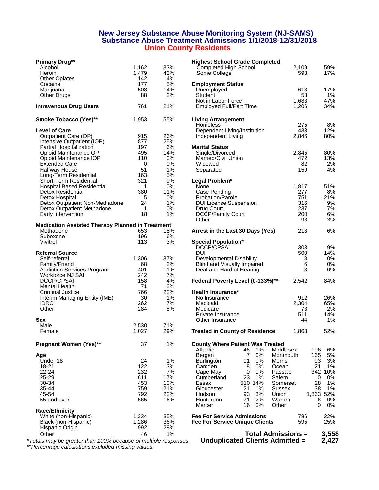#### **New Jersey Substance Abuse Monitoring System (NJ-SAMS) Substance Abuse Treatment Admissions 1/1/2018-12/31/2018 Union County Residents**

| <b>Primary Drug**</b>                                   |              |            | <b>Highest School Grade Completed</b>   |            |            |
|---------------------------------------------------------|--------------|------------|-----------------------------------------|------------|------------|
| Alcohol                                                 | 1.162        | 33%        | Completed High School                   | 2,109      | 59%        |
| Heroin                                                  | 1,479        | 42%        | Some College                            | 593        | 17%        |
| <b>Other Opiates</b>                                    | 142          | 4%         |                                         |            |            |
| Cocaine                                                 | 177          | 5%         | <b>Employment Status</b>                |            |            |
| Marijuana                                               | 508          | 14%        | Unemployed                              | 613        | 17%        |
| Other Drugs                                             | 88           | 2%         | <b>Student</b>                          | 53         | $1\%$      |
|                                                         |              |            | Not in Labor Force                      | 1,683      | 47%        |
| <b>Intravenous Drug Users</b>                           | 761          | 21%        | <b>Employed Full/Part Time</b>          | 1,206      | 34%        |
| <b>Smoke Tobacco (Yes)**</b>                            | 1,953        | 55%        | <b>Living Arrangement</b>               |            |            |
|                                                         |              |            | Homeless                                | 275        | 8%         |
| <b>Level of Care</b>                                    |              |            | Dependent Living/Institution            | 433        | 12%        |
| Outpatient Care (OP)                                    | 915          | 26%        | Independent Living                      | 2,846      | 80%        |
| Intensive Outpatient (IOP)                              | 877          | 25%        |                                         |            |            |
| Partial Hospitalization                                 | 197          | 6%         | <b>Marital Status</b>                   |            |            |
| Opioid Maintenance OP                                   | 495          | 14%        | Single/Divorced                         | 2,845      | 80%        |
| Opioid Maintenance IOP                                  | 110          | 3%         | Married/Civil Union                     | 472        | 13%        |
| <b>Extended Care</b>                                    | 0            | 0%         | Widowed                                 | 82         | 2%         |
| <b>Halfway House</b>                                    | 51           | 1%         | Separated                               | 159        | 4%         |
| Long-Term Residential                                   | 163          | 5%         |                                         |            |            |
| Short-Term Residential                                  | 321          | 9%         | Legal Problem*                          |            |            |
| <b>Hospital Based Residential</b>                       | $\mathbf{1}$ | 0%         | None                                    | 1,817      | 51%        |
| Detox Residential                                       | 380          | 11%        | Case Pending                            | 277        | 8%         |
| Detox Hospital                                          | 5            | 0%         | Probation/Parole                        | 751        | 21%        |
| Detox Outpatient Non-Methadone                          | 24           | 1%         | <b>DUI License Suspension</b>           | 316        | 9%         |
| Detox Outpatient Methadone                              | $\mathbf{1}$ | 0%         | Drug Court                              | 237        | 7%         |
| Early Intervention                                      | 18           | 1%         | DCCP/Family Court                       | 200        | 6%         |
| <b>Medication Assisted Therapy Planned in Treatment</b> |              |            | Other                                   | 93         | 3%         |
| Methadone                                               | 653          | 18%        | Arrest in the Last 30 Days (Yes)        | 218        | 6%         |
| Suboxone                                                | 196          | 6%         |                                         |            |            |
| Vivitrol                                                | 113          | 3%         | <b>Special Population*</b>              |            |            |
|                                                         |              |            | DCCP/CPSAI                              | 303        | 9%         |
| <b>Referral Source</b>                                  |              |            | <b>DUI</b>                              | 500        | 14%        |
| Self-referral                                           | 1,306        | 37%        | Developmental Disability                | 8          | 0%         |
| Family/Friend                                           | 68           | 2%         | Blind and Visually Impaired             | 6          | 0%         |
| <b>Addiction Services Program</b>                       | 401          | 11%        | Deaf and Hard of Hearing                | 3          | 0%         |
| Workforce NJ SAI                                        | 242          | 7%         |                                         |            |            |
| <b>DCCP/CPSAI</b>                                       | 158          | 4%         | Federal Poverty Level (0-133%)**        | 2,542      | 84%        |
| <b>Mental Health</b>                                    | 71           | 2%         |                                         |            |            |
| Criminal Justice                                        | 766          | 22%        | Health Insurance*                       |            |            |
| Interim Managing Entity (IME)                           | 30           | 1%         | No Insurance                            | 912        | 26%        |
| <b>IDRC</b>                                             | 262          | 7%         | Medicaid                                | 2,304      | 65%        |
| Other                                                   | 284          | 8%         | Medicare                                | 73         | 2%         |
|                                                         |              |            | Private Insurance                       | 511        | 14%        |
| <b>Sex</b>                                              |              |            | Other Insurance                         | 44         | 1%         |
| Male                                                    | 2,530        | 71%        |                                         |            |            |
| Female                                                  | 1,027        | 29%        | <b>Treated in County of Residence</b>   | 1,863      | 52%        |
| Pregnant Women (Yes)**                                  | 37           | 1%         | <b>County Where Patient Was Treated</b> |            |            |
|                                                         |              |            | Atlantic<br>1%<br>Middlesex<br>46       | 196        | 6%         |
| Age                                                     |              |            | 0%<br>Bergen<br>7<br>Monmouth           | 165        | 5%         |
| Under 18                                                | 24           | 1%         | 0%<br><b>Burlington</b><br>11<br>Morris |            | 3%<br>93   |
| 18-21                                                   | 122          | 3%         | Camden<br>0%<br>8<br>Ocean              |            | 21<br>1%   |
| $22 - 24$                                               | 232          | 7%         | 0%<br>0<br>Cape May<br>Passaic          |            | 342<br>10% |
| 25-29                                                   | 611          | 17%        | 23<br>1%<br>Cumberland<br>Salem         |            | 0<br>0%    |
| 30-34                                                   | 453          | 13%        | 510 14%<br>Essex<br>Somerset            |            | 28<br>1%   |
| 35-44                                                   | 759          | 21%        | 21<br>1%<br>Gloucester<br>Sussex        |            | 38<br>1%   |
| 45-54                                                   | 792          | 22%        | 93<br>3%<br>Hudson<br>Union             |            | 1,863 52%  |
| 55 and over                                             | 565          | 16%        | 71<br>2%<br>Hunterdon<br>Warren         |            | $0\%$<br>6 |
|                                                         |              |            | 16<br>0%<br>Other<br>Mercer             |            | 0%<br>0    |
| <b>Race/Ethnicity</b>                                   |              |            | <b>Fee For Service Admissions</b>       |            |            |
| White (non-Hispanic)<br>Black (non-Hispanic)            | 1,234        | 35%        |                                         | 786<br>595 | 22%        |
| Hispanic Origin                                         | 1,286<br>992 | 36%<br>28% | <b>Fee For Service Unique Clients</b>   |            | 25%        |
|                                                         |              |            |                                         |            |            |
| Other                                                   | 46           | 1%         | <b>Total Admissions =</b>               |            | 3,558      |

| rimary Drug**                                   |       |     | <b>Highest School Grade Completed</b>                        |                  |            |
|-------------------------------------------------|-------|-----|--------------------------------------------------------------|------------------|------------|
| Alcohol                                         | 1,162 | 33% | Completed High School                                        | 2,109            | 59%        |
| Heroin                                          | 1,479 | 42% | Some College                                                 | 593              | 17%        |
| <b>Other Opiates</b>                            | 142   | 4%  |                                                              |                  |            |
| Cocaine                                         | 177   | 5%  | <b>Employment Status</b>                                     |                  |            |
| Marijuana                                       | 508   | 14% | Unemployed                                                   | 613              | 17%        |
| Other Drugs                                     | 88    | 2%  | Student                                                      | 53               | 1%         |
|                                                 |       |     | Not in Labor Force                                           | 1,683            | 47%        |
| travenous Drug Users                            | 761   | 21% | <b>Employed Full/Part Time</b>                               | 1,206            | 34%        |
|                                                 |       |     |                                                              |                  |            |
| moke Tobacco (Yes)**                            | 1,953 | 55% | <b>Living Arrangement</b><br><b>Homeless</b>                 | 275              | 8%         |
| evel of Care                                    |       |     | Dependent Living/Institution                                 | 433              | 12%        |
| Outpatient Care (OP)                            | 915   | 26% | Independent Living                                           | 2,846            | 80%        |
| Intensive Outpatient (IOP)                      | 877   | 25% |                                                              |                  |            |
| Partial Hospitalization                         | 197   | 6%  | <b>Marital Status</b>                                        |                  |            |
| Opioid Maintenance OP                           | 495   | 14% | Single/Divorced                                              | 2,845            | 80%        |
| Opioid Maintenance IOP                          | 110   | 3%  | Married/Civil Union                                          | 472              | 13%        |
| <b>Extended Care</b>                            | 0     | 0%  | Widowed                                                      | 82               | 2%         |
| Halfway House                                   | 51    | 1%  | Separated                                                    | 159              | 4%         |
|                                                 | 163   | 5%  |                                                              |                  |            |
| Long-Term Residential                           |       |     |                                                              |                  |            |
| Short-Term Residential                          | 321   | 9%  | Legal Problem*                                               |                  |            |
| <b>Hospital Based Residential</b>               | 1     | 0%  | None                                                         | 1,817            | 51%        |
| Detox Residential                               | 380   | 11% | Case Pending                                                 | 277              | 8%         |
| Detox Hospital                                  | 5     | 0%  | Probation/Parole                                             | 751              | 21%        |
| Detox Outpatient Non-Methadone                  | 24    | 1%  | <b>DUI License Suspension</b>                                | 316              | 9%         |
| Detox Outpatient Methadone                      | 1     | 0%  | Drug Court                                                   | 237              | 7%         |
| Early Intervention                              | 18    | 1%  | <b>DCCP/Family Court</b>                                     | 200              | 6%         |
| edication Assisted Therapy Planned in Treatment |       |     | Other                                                        | 93               | 3%         |
|                                                 |       |     |                                                              |                  |            |
| Methadone                                       | 653   | 18% | Arrest in the Last 30 Days (Yes)                             | 218              | 6%         |
| Suboxone                                        | 196   | 6%  |                                                              |                  |            |
| Vivitrol                                        | 113   | 3%  | <b>Special Population*</b>                                   |                  |            |
|                                                 |       |     | DCCP/CPSAI                                                   | 303              | 9%         |
| eferral Source                                  |       |     | <b>DUI</b>                                                   | 500              | 14%        |
| Self-referral                                   | 1,306 | 37% | Developmental Disability                                     | 8                | 0%         |
| Family/Friend                                   | 68    | 2%  | Blind and Visually Impaired                                  | 6                | 0%         |
| <b>Addiction Services Program</b>               | 401   | 11% | Deaf and Hard of Hearing                                     | 3                | 0%         |
| Workforce NJ SAI                                | 242   | 7%  |                                                              |                  |            |
| DCCP/CPSAI                                      | 158   | 4%  | Federal Poverty Level (0-133%)**                             | 2,542            | 84%        |
|                                                 | 71    | 2%  |                                                              |                  |            |
| Mental Health                                   |       |     |                                                              |                  |            |
| Criminal Justice                                | 766   | 22% | Health Insurance*                                            |                  |            |
| Interim Managing Entity (IME)                   | 30    | 1%  | No Insurance                                                 | 912              | 26%        |
| IDRC                                            | 262   | 7%  | Medicaid                                                     | 2,304            | 65%        |
| Other                                           | 284   | 8%  | Medicare                                                     | 73               | 2%         |
|                                                 |       |     | Private Insurance                                            | 511              | 14%        |
| ех                                              |       |     | Other Insurance                                              | 44               | 1%         |
| Male                                            | 2,530 | 71% |                                                              |                  |            |
| Female                                          | 1,027 | 29% | <b>Treated in County of Residence</b>                        | 1,863            | 52%        |
|                                                 |       |     |                                                              |                  |            |
| regnant Women (Yes)**                           | 37    | 1%  | <b>County Where Patient Was Treated</b><br>Atlantic<br>$1\%$ | Middlesex<br>196 | 6%         |
|                                                 |       |     | 46                                                           |                  |            |
| qe                                              |       |     | 0%<br>Bergen<br>7                                            | 165<br>Monmouth  | 5%         |
| Under 18                                        | 24    | 1%  | 11<br>0%<br><b>Burlington</b><br>Morris                      |                  | 93<br>3%   |
| 18-21                                           | 122   | 3%  | 0%<br>Camden<br>8<br>Ocean                                   |                  | 21<br>1%   |
| 22-24                                           | 232   | 7%  | 0%<br>Cape May<br>0<br>Passaic                               |                  | 342<br>10% |
| 25-29                                           | 611   | 17% | 23<br>1%<br>Cumberland<br>Salem                              |                  | 0%<br>0    |
| 30-34                                           | 453   | 13% | 14%<br>Essex<br>510<br>Somerset                              |                  | 28<br>1%   |
| 35-44                                           | 759   | 21% | 21<br>1%<br>Gloucester<br>Sussex                             |                  | 1%<br>38   |
| 45-54                                           | 792   | 22% | 3%<br>Union<br>Hudson<br>93                                  | 1,863            | 52%        |
| 55 and over                                     | 565   | 16% | 71<br>2%<br>Hunterdon<br>Warren                              |                  | 6<br>0%    |
|                                                 |       |     | 0%<br>Mercer<br>16<br>Other                                  |                  | 0<br>0%    |
| ace/Ethnicity                                   |       |     |                                                              |                  |            |
| White (non-Hispanic)                            | 1,234 | 35% | <b>Fee For Service Admissions</b>                            | 786              | 22%        |
| Black (non-Hispanic)                            | 1,286 | 36% | <b>Fee For Service Unique Clients</b>                        | 595              | 25%        |
| Hispanic Origin                                 | 992   | 28% |                                                              |                  |            |
| Other                                           | 46    | 1%  | <b>Total Admissions =</b>                                    |                  | 3.558      |

*\*Totals may be greater than 100% because of multiple responses.* **Unduplicated Clients Admitted = 2,427** *\*\*Percentage calculations excluded missing values.*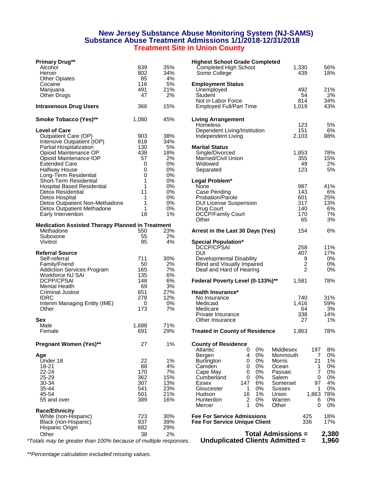#### **New Jersey Substance Abuse Monitoring System (NJ-SAMS) Substance Abuse Treatment Admissions 1/1/2018-12/31/2018 Treatment Site in Union County**

| <b>Primary Drug**</b>                                         |        |          | <b>Highest School Grade Completed</b>                        |                |                    |
|---------------------------------------------------------------|--------|----------|--------------------------------------------------------------|----------------|--------------------|
| Alcohol                                                       | 839    | 35%      | Completed High School                                        | 1,330          | 56%                |
| Heroin                                                        | 802    | 34%      | Some College                                                 | 439            | 18%                |
| <b>Other Opiates</b>                                          | 85     | 4%       |                                                              |                |                    |
| Cocaine                                                       | 116    | 5%       | <b>Employment Status</b>                                     |                |                    |
| Marijuana                                                     | 491    | 21%      | Unemployed                                                   | 492            | 21%                |
| <b>Other Drugs</b>                                            | 47     | 2%       | Student                                                      | 54             | 2%                 |
|                                                               |        |          | Not in Labor Force                                           | 814            | 34%                |
| <b>Intravenous Drug Users</b>                                 | 366    | 15%      | <b>Employed Full/Part Time</b>                               | 1,019          | 43%                |
| Smoke Tobacco (Yes)**                                         | 1,080  | 45%      | <b>Living Arrangement</b>                                    |                |                    |
|                                                               |        |          | <b>Homeless</b>                                              | 123            | 5%                 |
| <b>Level of Care</b>                                          |        |          | Dependent Living/Institution                                 | 151            | 6%                 |
| Outpatient Care (OP)                                          | 903    | 38%      | Independent Living                                           | 2,103          | 88%                |
| Intensive Outpatient (IOP)                                    | 818    | 34%      |                                                              |                |                    |
| Partial Hospitalization                                       | 130    | 5%       | <b>Marital Status</b>                                        |                |                    |
| Opioid Maintenance OP                                         | 438    | 18%      | Single/Divorced                                              | 1,853          | 78%                |
| Opioid Maintenance IOP                                        | 57     | 2%       | Married/Civil Union                                          | 355            | 15%                |
| <b>Extended Care</b>                                          | 0      | 0%       | Widowed                                                      | 49             | 2%                 |
| <b>Halfway House</b>                                          | 0      | 0%       | Separated                                                    | 123            | 5%                 |
| Long-Term Residential                                         | 0      | 0%<br>0% |                                                              |                |                    |
| Short-Term Residential                                        | 1<br>1 | 0%       | Legal Problem*                                               | 987            | 41%                |
| <b>Hospital Based Residential</b><br><b>Detox Residential</b> | 11     | 0%       | None                                                         | 143            | 6%                 |
| Detox Hospital                                                | 1      | 0%       | Case Pending<br>Probation/Parole                             | 601            | 25%                |
| Detox Outpatient Non-Methadone                                | 1      | 0%       |                                                              | 317            | 13%                |
| Detox Outpatient Methadone                                    | 1      | 0%       | <b>DUI License Suspension</b><br>Drug Court                  | 140            | 6%                 |
| Early Intervention                                            | 18     | 1%       | DCCP/Family Court                                            | 170            | 7%                 |
|                                                               |        |          | Other                                                        | 65             | 3%                 |
| <b>Medication Assisted Therapy Planned in Treatment</b>       |        |          |                                                              |                |                    |
| Methadone                                                     | 550    | 23%      | Arrest in the Last 30 Days (Yes)                             | 154            | 6%                 |
| Suboxone                                                      | 55     | 2%       |                                                              |                |                    |
| Vivitrol                                                      | 95     | 4%       | <b>Special Population*</b>                                   |                |                    |
|                                                               |        |          | DCCP/CPSAI                                                   | 258            | 11%                |
| <b>Referral Source</b>                                        |        |          | <b>DUI</b>                                                   | 407            | 17%                |
| Self-referral                                                 | 711    | 30%      | Developmental Disability                                     | 9              | 0%                 |
| Family/Friend                                                 | 50     | 2%       | Blind and Visually Impaired                                  | $\overline{c}$ | 0%                 |
| <b>Addiction Services Program</b>                             | 165    | 7%       | Deaf and Hard of Hearing                                     | $\overline{2}$ | 0%                 |
| Workforce NJ SAI                                              | 135    | 6%       |                                                              |                |                    |
| <b>DCPP/CPSAI</b>                                             | 148    | 6%       | Federal Poverty Level (0-133%)**                             | 1,581          | 78%                |
| <b>Mental Health</b>                                          | 69     | 3%       |                                                              |                |                    |
| Criminal Justice                                              | 651    | 27%      | <b>Health Insurance*</b>                                     |                |                    |
| <b>IDRC</b>                                                   | 278    | 12%      | No Insurance                                                 | 740            | 31%                |
| Interim Managing Entity (IME)                                 | 0      | 0%       | Medicaid                                                     | 1,416          | 59%                |
| Other                                                         | 173    | 7%       | Medicare                                                     | 64             | 3%                 |
|                                                               |        |          | Private Insurance                                            | 338            | 14%                |
| Sex                                                           |        |          | Other Insurance                                              | 27             | 1%                 |
| Male                                                          | 1,688  | 71%      |                                                              |                |                    |
| Female                                                        | 691    | 29%      | <b>Treated in County of Residence</b>                        | 1,863          | 78%                |
| <b>Pregnant Women (Yes)**</b>                                 | 27     | 1%       | <b>County of Residence</b>                                   |                |                    |
|                                                               |        |          | 0%<br>Middlesex<br>Atlantic<br>0                             | 197            | 8%                 |
| Age                                                           |        |          | 0%<br>Bergen<br>4<br>Monmouth                                |                | 0%<br>7            |
| Under 18                                                      | 22     | 1%       | 0%<br><b>Burlington</b><br>0<br>Morris                       | 21             | 1%                 |
| 18-21                                                         | 88     | 4%       | 0%<br>Camden<br>0<br>Ocean                                   |                | 0%<br>1            |
| 22-24                                                         | 170    | 7%       | 0%<br>Cape May<br>0<br>Passaic                               |                | 0%<br>7            |
| 25-29                                                         | 362    | 15%      | 0%<br>Salem<br>Cumberland<br>0                               |                | 0%<br>0            |
| 30-34                                                         | 307    | 13%      | 6%<br>Essex<br>147<br>Somerset                               | 97             | 4%                 |
| 35-44                                                         | 541    | 23%      | 0%<br>Gloucester<br>1<br>Sussex                              |                | 0%<br>1            |
| 45-54                                                         | 501    | 21%      | 1%<br>Union<br>Hudson<br>16                                  |                | 1,863 78%          |
| 55 and over                                                   | 389    | 16%      | 2<br>0%<br>Warren<br>Hunterdon<br>0%<br>Mercer<br>1<br>Other |                | 0%<br>6<br>0%<br>0 |
| <b>Race/Ethnicity</b>                                         |        |          |                                                              |                |                    |
| White (non-Hispanic)                                          | 723    | 30%      | <b>Fee For Service Admissions</b>                            | 425            | 18%                |
| Black (non-Hispanic)                                          | 937    | 39%      | <b>Fee For Service Unique Client</b>                         | 336            | 17%                |
| Hispanic Origin                                               | 682    | 29%      |                                                              |                |                    |
| Other                                                         | 38     | 2%       | <b>Total Admissions =</b>                                    |                | 2,38               |
|                                                               |        |          |                                                              |                |                    |

| rimary Drug**                                   |       |       | <b>Highest School Grade Completed</b>                                           |                         |             |
|-------------------------------------------------|-------|-------|---------------------------------------------------------------------------------|-------------------------|-------------|
| Alcohol                                         | 839   | 35%   | Completed High School                                                           | 1,330                   | 56%         |
| Heroin                                          | 802   | 34%   | Some College                                                                    | 439                     | 18%         |
| Other Opiates                                   | 85    | 4%    |                                                                                 |                         |             |
| Cocaine                                         | 116   | 5%    | <b>Employment Status</b>                                                        |                         |             |
| Marijuana                                       | 491   | 21%   | Unemployed                                                                      | 492                     | 21%         |
| Other Drugs                                     | 47    | 2%    | Student                                                                         | 54                      | 2%          |
|                                                 |       |       | Not in Labor Force                                                              | 814                     | 34%         |
| travenous Drug Users                            | 366   | 15%   | <b>Employed Full/Part Time</b>                                                  | 1,019                   | 43%         |
| moke Tobacco (Yes)**                            | 1,080 | 45%   | <b>Living Arrangement</b>                                                       |                         |             |
|                                                 |       |       | <b>Homeless</b>                                                                 | 123                     | 5%          |
| evel of Care                                    |       |       | Dependent Living/Institution                                                    | 151                     | 6%          |
| Outpatient Care (OP)                            | 903   | 38%   | Independent Living                                                              | 2,103                   | 88%         |
| Intensive Outpatient (IOP)                      | 818   | 34%   |                                                                                 |                         |             |
| Partial Hospitalization                         | 130   | 5%    | <b>Marital Status</b>                                                           |                         |             |
| Opioid Maintenance OP                           | 438   | 18%   | Single/Divorced                                                                 | 1,853                   | 78%         |
| Opioid Maintenance IOP                          | 57    | 2%    | Married/Civil Union                                                             | 355                     | 15%         |
| <b>Extended Care</b>                            | 0     | $0\%$ | Widowed                                                                         | 49                      | 2%          |
| Halfway House                                   | 0     | $0\%$ | Separated                                                                       | 123                     | 5%          |
| Long-Term Residential                           | 0     | 0%    |                                                                                 |                         |             |
| Short-Term Residential                          | 1     | 0%    | Legal Problem*                                                                  |                         |             |
| Hospital Based Residential                      | 1     | 0%    | None                                                                            | 987                     | 41%         |
| Detox Residential                               | 11    | $0\%$ | Case Pending                                                                    | 143                     | 6%          |
| Detox Hospital                                  | 1     | 0%    | Probation/Parole                                                                | 601                     | 25%         |
|                                                 |       | $0\%$ |                                                                                 | 317                     |             |
| Detox Outpatient Non-Methadone                  | 1     |       | <b>DUI License Suspension</b>                                                   |                         | 13%         |
| Detox Outpatient Methadone                      | 1     | $0\%$ | Drug Court                                                                      | 140                     | 6%          |
| Early Intervention                              | 18    | 1%    | <b>DCCP/Family Court</b>                                                        | 170                     | 7%          |
|                                                 |       |       | Other                                                                           | 65                      | 3%          |
| edication Assisted Therapy Planned in Treatment |       |       |                                                                                 |                         |             |
| Methadone                                       | 550   | 23%   | Arrest in the Last 30 Days (Yes)                                                | 154                     | 6%          |
| Suboxone                                        | 55    | 2%    |                                                                                 |                         |             |
| Vivitrol                                        | 95    | 4%    | <b>Special Population*</b>                                                      |                         |             |
|                                                 |       |       | DCCP/CPSAI                                                                      | 258                     | 11%         |
| eferral Source                                  |       |       | DUI                                                                             | 407                     | 17%         |
| Self-referral                                   | 711   | 30%   | Developmental Disability                                                        | 9                       | 0%          |
| Family/Friend                                   | 50    | 2%    | Blind and Visually Impaired                                                     | $\overline{\mathbf{c}}$ | 0%          |
| Addiction Services Program                      | 165   | 7%    | Deaf and Hard of Hearing                                                        | $\overline{2}$          | $0\%$       |
| Workforce NJ SAI                                | 135   | 6%    |                                                                                 |                         |             |
| DCPP/CPSAI                                      | 148   | 6%    | Federal Poverty Level (0-133%)**                                                | 1,581                   | 78%         |
| Mental Health                                   | 69    | 3%    |                                                                                 |                         |             |
| Criminal Justice                                | 651   | 27%   | <b>Health Insurance*</b>                                                        |                         |             |
| <b>IDRC</b>                                     | 278   | 12%   | No Insurance                                                                    | 740                     | 31%         |
| Interim Managing Entity (IME)                   | 0     | 0%    | Medicaid                                                                        | 1,416                   | 59%         |
| Other                                           | 173   | 7%    | Medicare                                                                        | 64                      | 3%          |
|                                                 |       |       | Private Insurance                                                               | 338                     | 14%         |
| ех                                              |       |       | Other Insurance                                                                 | 27                      | 1%          |
| Male                                            | 1,688 | 71%   |                                                                                 |                         |             |
| Female                                          | 691   | 29%   | <b>Treated in County of Residence</b>                                           | 1,863                   | 78%         |
| regnant Women (Yes)**                           | 27    | 1%    | <b>County of Residence</b>                                                      |                         |             |
|                                                 |       |       | Atlantic<br>0%<br>Middlesex<br>0                                                | 197                     | 8%          |
|                                                 |       |       | 0%<br>Bergen<br>4<br>Monmouth                                                   | 7                       | $0\%$       |
| ge<br>Under 18                                  | 22    | 1%    | 0%<br><b>Burlington</b><br>Morris<br>0                                          | 21                      | $1\%$       |
| 18-21                                           | 88    | 4%    | 0%<br>Camden<br>0<br>Ocean                                                      | 1                       | 0%          |
| 22-24                                           | 170   | 7%    | Cape May<br>0%<br>Passaic<br>0                                                  | 7                       | 0%          |
|                                                 |       |       | Salem<br>0                                                                      | 0                       |             |
| 25-29                                           | 362   | 15%   | 0%<br>Cumberland                                                                |                         | 0%          |
| 30-34                                           | 307   | 13%   | 6%<br>Essex<br>147<br>Somerset                                                  | 97                      | 4%          |
| 35-44                                           | 541   | 23%   | $0\%$<br>Gloucester<br>1<br>Sussex                                              | 1                       | 0%          |
| 45-54                                           | 501   | 21%   | $1\%$<br>Union<br>Hudson<br>16                                                  |                         | 1,863 78%   |
| 55 and over                                     | 389   | 16%   | $\overline{2}$<br>$0\%$<br>Warren<br>Hunterdon<br>1<br>$0\%$<br>Other<br>Mercer | 6<br>0                  | 0%<br>$0\%$ |
| ace/Ethnicity                                   |       |       |                                                                                 |                         |             |
| White (non-Hispanic)                            | 723   | 30%   | <b>Fee For Service Admissions</b>                                               | 425                     | 18%         |
| Black (non-Hispanic)                            | 937   | 39%   | <b>Fee For Service Unique Client</b>                                            | 336                     | 17%         |
| Hispanic Origin                                 | 682   | 29%   |                                                                                 |                         |             |
| Other                                           | 38    | 2%    | <b>Total Admissions =</b>                                                       |                         | 2,380       |
|                                                 |       |       |                                                                                 |                         |             |

*\*Totals may be greater than 100% because of multiple responses.* **Unduplicated Clients Admitted = 1,960**

*\*\*Percentage calculation excluded missing values.*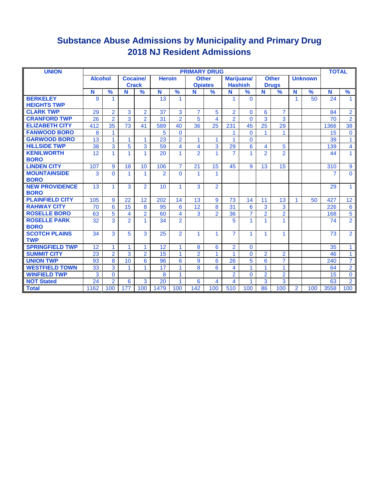### **Substance Abuse Admissions by Municipality and Primary Drug 2018 NJ Resident Admissions**

| <b>UNION</b>                          |                 |                |                |                |                |                | <b>PRIMARY DRUG</b> |                |                |                |                |                |                |                | <b>TOTAL</b> |                |
|---------------------------------------|-----------------|----------------|----------------|----------------|----------------|----------------|---------------------|----------------|----------------|----------------|----------------|----------------|----------------|----------------|--------------|----------------|
|                                       | <b>Alcohol</b>  |                | Cocaine/       |                | <b>Heroin</b>  |                | <b>Other</b>        |                | Marijuana/     |                |                | <b>Other</b>   |                | <b>Unknown</b> |              |                |
|                                       |                 |                | <b>Crack</b>   |                |                |                | <b>Opiates</b>      |                | <b>Hashish</b> |                |                | <b>Drugs</b>   |                |                |              |                |
|                                       | N               | %              | N              | %              | N              | $\frac{9}{6}$  | N                   | $\frac{9}{6}$  | N              | $\frac{9}{6}$  | N              | $\frac{9}{6}$  | N              | $\frac{9}{6}$  | N            | %              |
| <b>BERKELEY</b><br><b>HEIGHTS TWP</b> | 9               | 1              |                |                | 13             | 1              |                     |                | 1              | $\Omega$       |                |                | $\mathbf{1}$   | 50             | 24           | $\mathbf{1}$   |
| <b>CLARK TWP</b>                      | 29              | $\overline{2}$ | $\overline{3}$ | $\overline{2}$ | 37             | 3              | $\overline{7}$      | 5              | $\overline{2}$ | $\Omega$       | 6              | $\overline{7}$ |                |                | 84           | $\overline{2}$ |
| <b>CRANFORD TWP</b>                   | 26              | $\overline{2}$ | 3              | $\overline{2}$ | 31             | $\overline{2}$ | 5                   | 4              | $\overline{2}$ | $\Omega$       | 3              | 3              |                |                | 70           | $\overline{2}$ |
| <b>ELIZABETH CITY</b>                 | 412             | 35             | 73             | 41             | 589            | 40             | 36                  | 25             | 231            | 45             | 25             | 29             |                |                | 1366         | 38             |
| <b>FANWOOD BORO</b>                   | 8               | $\mathbf{1}$   |                |                | 5              | $\Omega$       |                     |                |                | $\Omega$       | 1              | $\mathbf{1}$   |                |                | 15           | $\mathbf{0}$   |
| <b>GARWOOD BORO</b>                   | 13              | $\mathbf{1}$   | 1              | 1              | 23             | $\overline{2}$ | 1                   | 1              | 1              | $\Omega$       |                |                |                |                | 39           | 1.             |
| <b>HILLSIDE TWP</b>                   | 38              | $\overline{3}$ | 5              | 3              | 59             | 4              | 4                   | 3              | 29             | 6              | 4              | 5              |                |                | 139          | 4              |
| <b>KENILWORTH</b><br><b>BORO</b>      | 12              | $\overline{1}$ | 1              | 1              | 20             | 1              | $\overline{2}$      | 1.             | $\overline{7}$ | 1              | $\overline{2}$ | $\overline{2}$ |                |                | 44           | 1.             |
| <b>LINDEN CITY</b>                    | 107             | 9              | 18             | 10             | 106            | $\overline{7}$ | 21                  | 15             | 45             | 9              | 13             | 15             |                |                | 310          | 9              |
| <b>MOUNTAINSIDE</b><br><b>BORO</b>    | 3               | $\overline{0}$ | 1              | 1              | $\overline{2}$ | $\Omega$       | 1                   | 1              |                |                |                |                |                |                | 7            | $\Omega$       |
| <b>NEW PROVIDENCE</b><br><b>BORO</b>  | 13              | $\mathbf{1}$   | 3              | $\overline{2}$ | 10             | 1              | 3                   | $\overline{2}$ |                |                |                |                |                |                | 29           | $\mathbf{1}$   |
| <b>PLAINFIELD CITY</b>                | 105             | 9              | 22             | 12             | 202            | 14             | 13                  | 9              | 73             | 14             | 11             | 13             | $\mathbf{1}$   | 50             | 427          | 12             |
| <b>RAHWAY CITY</b>                    | 70              | 6              | 15             | 8              | 95             | 6              | 12                  | 8              | 31             | 6              | 3              | 3              |                |                | 226          | 6              |
| <b>ROSELLE BORO</b>                   | 63              | $\overline{5}$ | 4              | $\overline{2}$ | 60             | 4              | 3                   | $\overline{2}$ | 36             | 7              | $\overline{2}$ | $\overline{2}$ |                |                | 168          | 5              |
| <b>ROSELLE PARK</b><br><b>BORO</b>    | $\overline{32}$ | $\overline{3}$ | $\overline{2}$ | 1              | 34             | $\overline{2}$ |                     |                | 5              | 1              | 1              | 1              |                |                | 74           | $\overline{2}$ |
| <b>SCOTCH PLAINS</b><br><b>TWP</b>    | 34              | 3              | 5              | 3              | 25             | $\mathfrak{p}$ | 1                   | 1              | $\overline{7}$ | 1.             | 1              | $\mathbf{1}$   |                |                | 73           | $\overline{2}$ |
| <b>SPRINGFIELD TWP</b>                | 12              | 1              |                | 1              | 12             | 1              | 8                   | 6              | $\overline{2}$ | $\Omega$       |                |                |                |                | 35           | 1.             |
| <b>SUMMIT CITY</b>                    | 23              | $\overline{2}$ | 3              | $\overline{2}$ | 15             | 1              | $\overline{2}$      | 1              |                | $\Omega$       | $\overline{2}$ | $\overline{2}$ |                |                | 46           | 1.             |
| <b>UNION TWP</b>                      | 93              | 8              | 10             | 6              | 96             | 6              | 9                   | 6              | 26             | 5              | $6\phantom{a}$ | $\overline{7}$ |                |                | 240          | $\overline{7}$ |
| <b>WESTFIELD TOWN</b>                 | 33              | 3              |                | 1              | 17             |                | 8                   | 6              | 4              | 1              | 1              | 1              |                |                | 64           | $\overline{2}$ |
| <b>WINFIELD TWP</b>                   | 3               | $\overline{0}$ |                |                | 8              | 1              |                     |                | $\overline{2}$ | $\overline{0}$ | $\overline{2}$ | $\overline{2}$ |                |                | 15           | 0              |
| <b>NOT Stated</b>                     | 24              | $\overline{2}$ | 6              | 3              | 20             | 1              | 6                   | 4              | 4              | 1              | 3              | 3              |                |                | 63           | $\overline{2}$ |
| <b>Total</b>                          | 1162            | 100            | 177            | 100            | 1479           | 100            | 142                 | 100            | 510            | 100            | 86             | 100            | $\overline{2}$ | 100            | 3558         | 100            |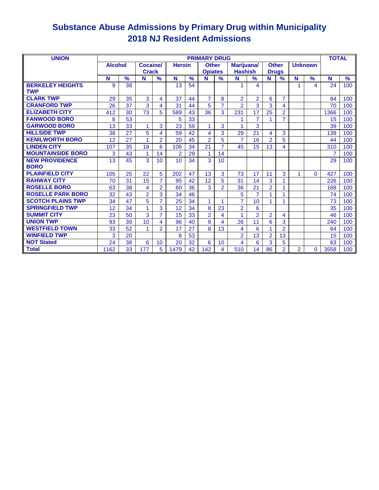### **Substance Abuse Admissions by Primary Drug within Municipality 2018 NJ Resident Admissions**

| <b>UNION</b>                          |                |               |                 |                |                |               | <b>PRIMARY DRUG</b> |                |                |                |                |                |                |                | <b>TOTAL</b> |               |
|---------------------------------------|----------------|---------------|-----------------|----------------|----------------|---------------|---------------------|----------------|----------------|----------------|----------------|----------------|----------------|----------------|--------------|---------------|
|                                       | <b>Alcohol</b> |               | <b>Cocaine/</b> |                | <b>Heroin</b>  |               | <b>Other</b>        |                | Marijuana/     |                | <b>Other</b>   |                |                | <b>Unknown</b> |              |               |
|                                       |                |               | <b>Crack</b>    |                |                |               | <b>Opiates</b>      |                | <b>Hashish</b> |                | <b>Drugs</b>   |                |                |                |              |               |
|                                       | N              | $\frac{9}{6}$ | N               | $\frac{9}{6}$  | N              | $\frac{9}{6}$ | N                   | $\frac{9}{6}$  | N              | $\frac{9}{6}$  | N              | $\frac{9}{6}$  | N              | $\frac{9}{6}$  | N            | $\frac{9}{6}$ |
| <b>BERKELEY HEIGHTS</b><br><b>TWP</b> | 9              | 38            |                 |                | 13             | 54            |                     |                |                | 4              |                |                |                | 4              | 24           | 100           |
| <b>CLARK TWP</b>                      | 29             | 35            | 3               | 4              | 37             | 44            | $\overline{7}$      | 8              | $\overline{2}$ | $\overline{2}$ | 6              | $\overline{7}$ |                |                | 84           | 100           |
| <b>CRANFORD TWP</b>                   | 26             | 37            | 3               | 4              | 31             | 44            | 5                   | $\overline{7}$ | $\overline{2}$ | 3              | 3              | 4              |                |                | 70           | 100           |
| <b>ELIZABETH CITY</b>                 | 412            | 30            | 73              | 5              | 589            | 43            | 36                  | 3              | 231            | 17             | 25             | $\overline{2}$ |                |                | 1366         | 100           |
| <b>FANWOOD BORO</b>                   | 8              | 53            |                 |                | 5              | 33            |                     |                |                | $\overline{7}$ |                | $\overline{7}$ |                |                | 15           | 100           |
| <b>GARWOOD BORO</b>                   | 13             | 33            |                 | 3              | 23             | 59            | 1                   | 3              |                | 3              |                |                |                |                | 39           | 100           |
| <b>HILLSIDE TWP</b>                   | 38             | 27            | 5               | 4              | 59             | 42            | 4                   | 3              | 29             | 21             | 4              | 3              |                |                | 139          | 100           |
| <b>KENILWORTH BORO</b>                | 12             | 27            | 1               | $\overline{2}$ | 20             | 45            | $\overline{2}$      | 5              | 7              | 16             | $\overline{2}$ | 5              |                |                | 44           | 100           |
| <b>LINDEN CITY</b>                    | 107            | 35            | 18              | 6              | 106            | 34            | 21                  | $\overline{7}$ | 45             | 15             | 13             | 4              |                |                | 310          | 100           |
| <b>MOUNTAINSIDE BORO</b>              | 3              | 43            | 1               | 14             | $\overline{2}$ | 29            | 1                   | 14             |                |                |                |                |                |                | 7            | 100           |
| <b>NEW PROVIDENCE</b>                 | 13             | 45            | 3               | 10             | 10             | 34            | 3                   | 10             |                |                |                |                |                |                | 29           | 100           |
| <b>BORO</b>                           |                |               |                 |                |                |               |                     |                |                |                |                |                |                |                |              |               |
| <b>PLAINFIELD CITY</b>                | 105            | 25            | 22              | 5              | 202            | 47            | 13                  | 3              | 73             | 17             | 11             | 3              | 1.             | $\Omega$       | 427          | 100           |
| <b>RAHWAY CITY</b>                    | 70             | 31            | 15              | $\overline{7}$ | 95             | 42            | 12                  | 5              | 31             | 14             | 3              | 1              |                |                | 226          | 100           |
| <b>ROSELLE BORO</b>                   | 63             | 38            | 4               | $\overline{2}$ | 60             | 36            | 3                   | $\overline{2}$ | 36             | 21             | $\overline{2}$ | 1              |                |                | 168          | 100           |
| <b>ROSELLE PARK BORO</b>              | 32             | 43            | $\overline{2}$  | 3              | 34             | 46            |                     |                | 5              | $\overline{7}$ | 1              | 1              |                |                | 74           | 100           |
| <b>SCOTCH PLAINS TWP</b>              | 34             | 47            | $5\overline{)}$ | 7              | 25             | 34            | 1                   |                | 7              | 10             |                | 1              |                |                | 73           | 100           |
| <b>SPRINGFIELD TWP</b>                | 12             | 34            |                 | 3              | 12             | 34            | 8                   | 23             | $\overline{2}$ | 6              |                |                |                |                | 35           | 100           |
| <b>SUMMIT CITY</b>                    | 23             | 50            | 3               | $\overline{7}$ | 15             | 33            | $\overline{2}$      | 4              |                | $\overline{2}$ | $\overline{2}$ | 4              |                |                | 46           | 100           |
| <b>UNION TWP</b>                      | 93             | 39            | 10              | 4              | 96             | 40            | 9                   | 4              | 26             | 11             | 6              | 3              |                |                | 240          | 100           |
| <b>WESTFIELD TOWN</b>                 | 33             | 52            | 1               | $\overline{2}$ | 17             | 27            | 8                   | 13             | 4              | 6              | 1              | $\overline{2}$ |                |                | 64           | 100           |
| <b>WINFIELD TWP</b>                   | 3              | 20            |                 |                | 8              | 53            |                     |                | $\overline{2}$ | 13             | $\overline{2}$ | 13             |                |                | 15           | 100           |
| <b>NOT Stated</b>                     | 24             | 38            | 6               | 10             | 20             | 32            | 6                   | 10             | 4              | 6              | 3              | 5              |                |                | 63           | 100           |
| <b>Total</b>                          | 1162           | 33            | 177             | 5              | 1479           | 42            | 142                 | 4              | 510            | 14             | 86             | $\overline{2}$ | $\overline{2}$ | $\Omega$       | 3558         | 100           |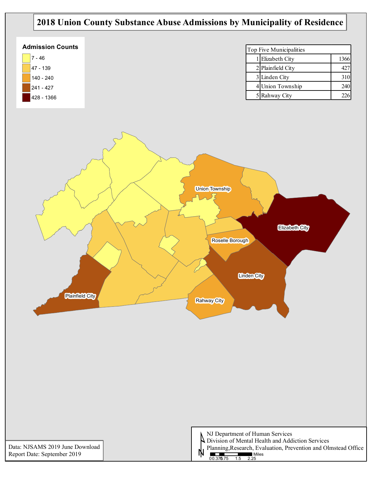### **2018 Union County Substance Abuse Admissions by Municipality of Residence**

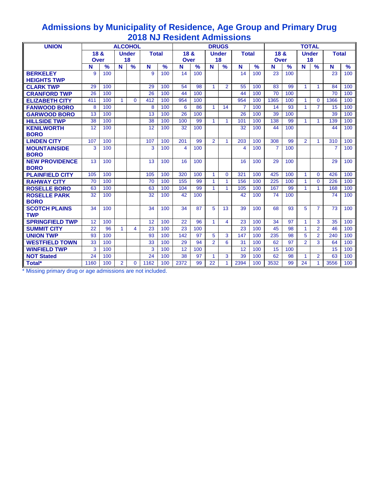| <b>UNION</b>                       |      |               |                | <b>ALCOHOL</b> |              |      |      |               | <b>DRUGS</b>   |                      |                |               |             | <b>TOTAL</b><br><b>Under</b><br><b>Total</b><br>18<br>$\frac{9}{6}$<br>$\frac{9}{6}$<br>N<br>N<br>23<br>100<br>$\mathbf{1}$<br>$\mathbf{1}$<br>99<br>84<br>70<br>100<br>1366<br>100<br>1<br>$\mathbf{0}$<br>$\overline{7}$<br>$\mathbf{1}$<br>93<br>15<br>39<br>100 |                |                      |                |               |
|------------------------------------|------|---------------|----------------|----------------|--------------|------|------|---------------|----------------|----------------------|----------------|---------------|-------------|---------------------------------------------------------------------------------------------------------------------------------------------------------------------------------------------------------------------------------------------------------------------|----------------|----------------------|----------------|---------------|
|                                    | 18 & |               |                | <b>Under</b>   | <b>Total</b> |      | 18 & |               |                | <b>Under</b>         | <b>Total</b>   |               | 18 &        |                                                                                                                                                                                                                                                                     |                |                      |                |               |
|                                    | Over |               |                | 18             |              |      | Over |               |                | 18                   |                |               | <b>Over</b> |                                                                                                                                                                                                                                                                     |                |                      |                |               |
|                                    | N    | $\frac{9}{6}$ | N              | $\%$           | N            | $\%$ | N    | $\frac{9}{6}$ | N              | $\frac{9}{6}$        | N              | $\frac{9}{6}$ | N           |                                                                                                                                                                                                                                                                     |                |                      |                | $\frac{9}{6}$ |
| <b>BERKELEY</b>                    | 9    | 100           |                |                | 9            | 100  | 14   | 100           |                |                      | 14             | 100           | 23          |                                                                                                                                                                                                                                                                     |                |                      |                | 100           |
| <b>HEIGHTS TWP</b>                 |      |               |                |                |              |      |      |               |                |                      |                |               |             |                                                                                                                                                                                                                                                                     |                |                      |                |               |
| <b>CLARK TWP</b>                   | 29   | 100           |                |                | 29           | 100  | 54   | 98            | $\mathbf{1}$   | $\overline{2}$       | 55             | 100           | 83          |                                                                                                                                                                                                                                                                     |                |                      |                | 100           |
| <b>CRANFORD TWP</b>                | 26   | 100           |                |                | 26           | 100  | 44   | 100           |                |                      | 44             | 100           | 70          |                                                                                                                                                                                                                                                                     |                |                      |                | 100           |
| <b>ELIZABETH CITY</b>              | 411  | 100           | 1              | $\Omega$       | 412          | 100  | 954  | 100           |                |                      | 954            | 100           | 1365        |                                                                                                                                                                                                                                                                     |                |                      |                | 100           |
| <b>FANWOOD BORO</b>                | 8    | 100           |                |                | 8            | 100  | 6    | 86            | 1              | 14                   | $\overline{7}$ | 100           | 14          |                                                                                                                                                                                                                                                                     |                |                      |                | 100           |
| <b>GARWOOD BORO</b>                | 13   | 100           |                |                | 13           | 100  | 26   | 100           |                |                      | 26             | 100           | 39          |                                                                                                                                                                                                                                                                     |                |                      |                | 100           |
| <b>HILLSIDE TWP</b>                | 38   | 100           |                |                | 38           | 100  | 100  | 99            | 1              | $\blacktriangleleft$ | 101            | 100           | 138         | 99                                                                                                                                                                                                                                                                  | $\mathbf{1}$   | $\mathbf{1}$         | 139            | 100           |
| <b>KENILWORTH</b>                  | 12   | 100           |                |                | 12           | 100  | 32   | 100           |                |                      | 32             | 100           | 44          | 100                                                                                                                                                                                                                                                                 |                |                      | 44             | 100           |
| <b>BORO</b>                        |      |               |                |                |              |      |      |               |                |                      |                |               |             |                                                                                                                                                                                                                                                                     |                |                      |                |               |
| <b>LINDEN CITY</b>                 | 107  | 100           |                |                | 107          | 100  | 201  | 99            | $\overline{2}$ | $\mathbf{1}$         | 203            | 100           | 308         | 99                                                                                                                                                                                                                                                                  | $\overline{2}$ | $\mathbf{1}$         | 310            | 100           |
| <b>MOUNTAINSIDE</b>                | 3    | 100           |                |                | 3            | 100  | 4    | 100           |                |                      | 4              | 100           | 7           | 100                                                                                                                                                                                                                                                                 |                |                      | $\overline{7}$ | 100           |
| <b>BORO</b>                        |      |               |                |                |              |      |      |               |                |                      |                |               |             |                                                                                                                                                                                                                                                                     |                |                      |                |               |
| <b>NEW PROVIDENCE</b>              | 13   | 100           |                |                | 13           | 100  | 16   | 100           |                |                      | 16             | 100           | 29          | 100                                                                                                                                                                                                                                                                 |                |                      | 29             | 100           |
| <b>BORO</b>                        |      |               |                |                |              |      |      |               |                |                      |                |               |             |                                                                                                                                                                                                                                                                     |                |                      |                |               |
| <b>PLAINFIELD CITY</b>             | 105  | 100           |                |                | 105          | 100  | 320  | 100           | 1              | $\mathbf{0}$         | 321            | 100           | 425         | 100                                                                                                                                                                                                                                                                 | $\mathbf{1}$   | $\mathbf{0}$         | 426            | 100           |
| <b>RAHWAY CITY</b>                 | 70   | 100           |                |                | 70           | 100  | 155  | 99            | $\mathbf{1}$   | $\mathbf{1}$         | 156            | 100           | 225         | 100                                                                                                                                                                                                                                                                 | 1              | $\mathbf{0}$         | 226            | 100           |
| <b>ROSELLE BORO</b>                | 63   | 100           |                |                | 63           | 100  | 104  | 99            | 1              | $\mathbf{1}$         | 105            | 100           | 167         | 99                                                                                                                                                                                                                                                                  | 1              | $\mathbf{1}$         | 168            | 100           |
| <b>ROSELLE PARK</b><br><b>BORO</b> | 32   | 100           |                |                | 32           | 100  | 42   | 100           |                |                      | 42             | 100           | 74          | 100                                                                                                                                                                                                                                                                 |                |                      | 74             | 100           |
| <b>SCOTCH PLAINS</b><br><b>TWP</b> | 34   | 100           |                |                | 34           | 100  | 34   | 87            | 5              | 13                   | 39             | 100           | 68          | 93                                                                                                                                                                                                                                                                  | 5              | $\overline{7}$       | 73             | 100           |
| <b>SPRINGFIELD TWP</b>             | 12   | 100           |                |                | 12           | 100  | 22   | 96            | 1              | 4                    | 23             | 100           | 34          | 97                                                                                                                                                                                                                                                                  | 1              | 3                    | 35             | 100           |
| <b>SUMMIT CITY</b>                 | 22   | 96            | $\mathbf{1}$   | 4              | 23           | 100  | 23   | 100           |                |                      | 23             | 100           | 45          | 98                                                                                                                                                                                                                                                                  | $\mathbf{1}$   | $\overline{2}$       | 46             | 100           |
| <b>UNION TWP</b>                   | 93   | 100           |                |                | 93           | 100  | 142  | 97            | 5              | 3                    | 147            | 100           | 235         | 98                                                                                                                                                                                                                                                                  | 5              | $\overline{2}$       | 240            | 100           |
| <b>WESTFIELD TOWN</b>              | 33   | 100           |                |                | 33           | 100  | 29   | 94            | $\overline{2}$ | 6                    | 31             | 100           | 62          | 97                                                                                                                                                                                                                                                                  | $\overline{2}$ | 3                    | 64             | 100           |
| <b>WINFIELD TWP</b>                | 3    | 100           |                |                | 3            | 100  | 12   | 100           |                |                      | 12             | 100           | 15          | 100                                                                                                                                                                                                                                                                 |                |                      | 15             | 100           |
| <b>NOT Stated</b>                  | 24   | 100           |                |                | 24           | 100  | 38   | 97            | 1              | 3                    | 39             | 100           | 62          | 98                                                                                                                                                                                                                                                                  | 1              | $\overline{2}$       | 63             | 100           |
| Total*                             | 1160 | 100           | $\overline{2}$ | $\Omega$       | 1162         | 100  | 2372 | 99            | 22             | 1                    | 2394           | 100           | 3532        | 99                                                                                                                                                                                                                                                                  | 24             | $\blacktriangleleft$ | 3556           | 100           |

### **Admissions by Municipality of Residence, Age Group and Primary Drug 2018 NJ Resident Admissions**

\* Missing primary drug or age admissions are not included.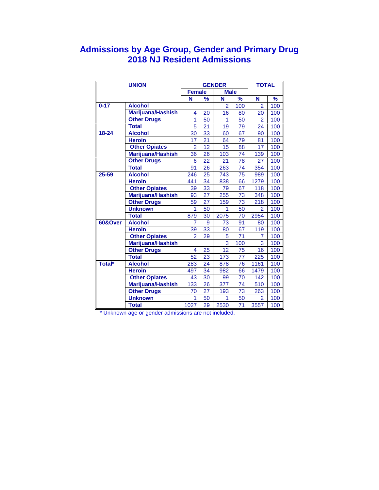### **Admissions by Age Group, Gender and Primary Drug 2018 NJ Resident Admissions**

|          | <b>UNION</b>         |                 |                 | <b>GENDER</b>  |                 | <b>TOTAL</b>    |               |
|----------|----------------------|-----------------|-----------------|----------------|-----------------|-----------------|---------------|
|          |                      | <b>Female</b>   |                 | <b>Male</b>    |                 |                 |               |
|          |                      | N               | %               | N              | $\frac{9}{6}$   | N               | $\frac{9}{6}$ |
| $0 - 17$ | <b>Alcohol</b>       |                 |                 | $\overline{2}$ | 100             | $\overline{2}$  | 100           |
|          | Marijuana/Hashish    | 4               | 20              | 16             | 80              | 20              | 100           |
|          | <b>Other Drugs</b>   | 1               | 50              | 1              | 50              | $\overline{2}$  | 100           |
|          | <b>Total</b>         | 5               | 21              | 19             | 79              | 24              | 100           |
| 18-24    | <b>Alcohol</b>       | 30              | 33              | 60             | 67              | 90              | 100           |
|          | <b>Heroin</b>        | 17              | 21              | 64             | 79              | 81              | 100           |
|          | <b>Other Opiates</b> | $\overline{2}$  | $\overline{12}$ | 15             | 88              | $\overline{17}$ | 100           |
|          | Marijuana/Hashish    | 36              | 26              | 103            | 74              | 139             | 100           |
|          | <b>Other Drugs</b>   | 6               | 22              | 21             | 78              | 27              | 100           |
|          | <b>Total</b>         | 91              | 26              | 263            | 74              | 354             | 100           |
| 25-59    | <b>Alcohol</b>       | 246             | 25              | 743            | 75              | 989             | 100           |
|          | <b>Heroin</b>        | 441             | 34              | 838            | 66              | 1279            | 100           |
|          | <b>Other Opiates</b> | 39              | 33              | 79             | 67              | 118             | 100           |
|          | Marijuana/Hashish    | 93              | 27              | 255            | 73              | 348             | 100           |
|          | <b>Other Drugs</b>   | 59              | 27              | 159            | 73              | 218             | 100           |
|          | <b>Unknown</b>       | 1               | 50              | 1              | 50              | $\overline{2}$  | 100           |
|          | <b>Total</b>         | 879             | 30              | 2075           | 70              | 2954            | 100           |
| 60&Over  | <b>Alcohol</b>       | $\overline{7}$  | 9               | 73             | 91              | 80              | 100           |
|          | <b>Heroin</b>        | 39              | 33              | 80             | 67              | 119             | 100           |
|          | <b>Other Opiates</b> | $\overline{a}$  | 29              | 5              | 71              | 7               | 100           |
|          | Marijuana/Hashish    |                 |                 | 3              | 100             | 3               | 100           |
|          | <b>Other Drugs</b>   | 4               | 25              | 12             | 75              | 16              | 100           |
|          | <b>Total</b>         | $\overline{52}$ | 23              | 173            | $\overline{77}$ | 225             | 100           |
| Total*   | <b>Alcohol</b>       | 283             | 24              | 878            | 76              | 1161            | 100           |
|          | <b>Heroin</b>        | 497             | 34              | 982            | 66              | 1479            | 100           |
|          | <b>Other Opiates</b> | 43              | 30              | 99             | 70              | 142             | 100           |
|          | Marijuana/Hashish    | 133             | 26              | 377            | 74              | 510             | 100           |
|          | <b>Other Drugs</b>   | 70              | 27              | 193            | 73              | 263             | 100           |
|          | <b>Unknown</b>       | 1               | 50              | 1              | 50              | 2               | 100           |
|          | <b>Total</b>         | 1027            | 29              | 2530           | 71              | 3557            | 100           |

\* Unknown age or gender admissions are not included.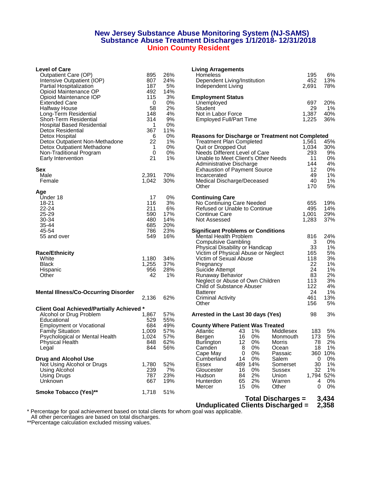#### **New Jersey Substance Abuse Monitoring System (NJ-SAMS) Substance Abuse Treatment Discharges 1/1/2018- 12/31/2018 Union County Resident**

#### **Level of Care**

| Outpatient Care (OP)<br>Intensive Outpatient (IOP)<br>Partial Hospitalization<br>Opioid Maintenance OP                          | 895<br>807<br>187<br>492            | 26%<br>24%<br>5%<br>14%         | Homeless<br>Dependent Living/Institution<br>Independent Living                                                                                                                                   |
|---------------------------------------------------------------------------------------------------------------------------------|-------------------------------------|---------------------------------|--------------------------------------------------------------------------------------------------------------------------------------------------------------------------------------------------|
| Opioid Maintenance IOP<br><b>Extended Care</b><br>Halfway House                                                                 | 115<br>0<br>58                      | 3%<br>0%<br>2%                  | <b>Employment Status</b><br>Unemployed<br>Student                                                                                                                                                |
| Long-Term Residential<br>Short-Term Residential<br><b>Hospital Based Residential</b><br>Detox Residential                       | 148<br>314<br>1<br>367              | 4%<br>9%<br>0%<br>11%           | Not in Labor Force<br><b>Employed Full/Part Time</b>                                                                                                                                             |
| Detox Hospital<br>Detox Outpatient Non-Methadone<br>Detox Outpatient Methadone<br>Non-Traditional Program                       | 6<br>22<br>1<br>0                   | 0%<br>$1\%$<br>0%<br>0%         | <b>Reasons for Discharge or Treatmer</b><br><b>Treatment Plan Completed</b><br>Quit or Dropped Out<br>Needs Different Level of Care                                                              |
| Early Intervention<br>Sex                                                                                                       | 21                                  | $1\%$                           | Unable to Meet Client's Other Needs<br>Administrative Discharge<br><b>Exhaustion of Payment Source</b>                                                                                           |
| Male<br>Female                                                                                                                  | 2,391<br>1,042                      | 70%<br>30%                      | Incarcerated<br>Medical Discharge/Deceased<br>Other                                                                                                                                              |
| Age<br>Under 18<br>18-21                                                                                                        | 17<br>116                           | 0%<br>3%                        | <b>Continuing Care</b><br>No Continuing Care Needed                                                                                                                                              |
| 22-24<br>25-29<br>30-34                                                                                                         | 211<br>590<br>480                   | 6%<br>17%<br>14%                | Refused or Unable to Continue<br>Continue Care<br>Not Assessed                                                                                                                                   |
| 35-44<br>45-54<br>55 and over                                                                                                   | 685<br>786<br>549                   | 20%<br>23%<br>16%               | <b>Significant Problems or Conditions</b><br>Mental Health Problem<br><b>Compulsive Gambling</b>                                                                                                 |
| <b>Race/Ethnicity</b>                                                                                                           |                                     |                                 | Physical Disability or Handicap<br>Victim of Physical Abuse or Neglect                                                                                                                           |
| White<br><b>Black</b><br>Hispanic<br>Other                                                                                      | 1,180<br>1,255<br>956<br>42         | 34%<br>37%<br>28%<br>1%         | Victim of Sexual Abuse<br>Pregnancy<br>Suicide Attempt<br>Runaway Behavior<br>Neglect or Abuse of Own Children                                                                                   |
| <b>Mental Illness/Co-Occurring Disorder</b>                                                                                     | 2,136                               | 62%                             | Child of Substance Abuser<br><b>Batterer</b><br><b>Criminal Activity</b><br>Other                                                                                                                |
| <b>Client Goal Achieved/Partially Achieved *</b><br>Alcohol or Drug Problem<br>Educational                                      | 1,867<br>529                        | 57%<br>55%                      | Arrested in the Last 30 days (Yes)                                                                                                                                                               |
| <b>Employment or Vocational</b><br><b>Family Situation</b><br>Psychological or Mental Health<br><b>Physical Health</b><br>Legal | 684<br>1,009<br>1,024<br>848<br>844 | 49%<br>57%<br>57%<br>62%<br>56% | <b>County Where Patient Was Treated</b><br>$1\%$<br>Atlantic<br>43<br>Middl<br>16<br>$0\%$<br>Monr<br>Bergen<br>12 <sup>2</sup><br><b>Burlington</b><br>0%<br>Morri<br>8<br>0%<br>Camden<br>Ocea |
| Drug and Alcohol Use<br>Not Using Alcohol or Drugs<br>Using Alcohol                                                             | 1,780<br>239                        | 52%<br>7%                       | Cape May<br>0%<br>0<br>Pass<br>Cumberland<br>0%<br>14<br>Saler<br>489 14%<br>Essex<br><b>Some</b><br>Gloucester<br>16<br>0%<br>Suss                                                              |
| Using Drugs<br>Unknown                                                                                                          | 787<br>667                          | 23%<br>19%                      | 84<br>2%<br>Hudson<br>Unior<br>2%<br>Warr<br>Hunterdon<br>65<br>15<br>Mercer<br>0%<br>Other                                                                                                      |
| Smoke Tobacco (Yes)**                                                                                                           | 1,718                               | 51%                             | Tatal Diaska                                                                                                                                                                                     |

| <b>Level of Care</b>                        |             |            | <b>Living Arragements</b>                               |           |               |
|---------------------------------------------|-------------|------------|---------------------------------------------------------|-----------|---------------|
| Outpatient Care (OP)                        | 895         | 26%        | Homeless                                                | 195       | 6%            |
| Intensive Outpatient (IOP)                  | 807         | 24%        | Dependent Living/Institution                            | 452       | 13%           |
| Partial Hospitalization                     | 187         | 5%         | Independent Living                                      | 2,691     | 78%           |
| Opioid Maintenance OP                       | 492         | 14%        |                                                         |           |               |
| Opioid Maintenance IOP                      | 115         | 3%         | <b>Employment Status</b>                                |           |               |
| <b>Extended Care</b>                        | 0           | 0%         | Unemployed                                              | 697       | 20%           |
| <b>Halfway House</b>                        | 58          | 2%         | Student                                                 | 29        | 1%            |
| Long-Term Residential                       | 148         | 4%         | Not in Labor Force                                      | 1,387     | 40%           |
| Short-Term Residential                      | 314         | 9%         | <b>Employed Full/Part Time</b>                          | 1,225     | 36%           |
| Hospital Based Residential                  | 1           | 0%         |                                                         |           |               |
| Detox Residential                           | 367         | 11%        |                                                         |           |               |
| Detox Hospital                              | 6           | 0%         | <b>Reasons for Discharge or Treatment not Completed</b> |           |               |
| Detox Outpatient Non-Methadone              | 22          | 1%         | <b>Treatment Plan Completed</b>                         | 1,561     | 45%           |
| Detox Outpatient Methadone                  | 1           | 0%         | Quit or Dropped Out                                     | 1,034     | 30%           |
| Non-Traditional Program                     | $\mathbf 0$ | 0%         | Needs Different Level of Care                           | 293       | 9%            |
| Early Intervention                          | 21          | 1%         | Unable to Meet Client's Other Needs                     | 11        | 0%            |
|                                             |             |            | Administrative Discharge                                | 144       | 4%            |
| Sex                                         |             |            | <b>Exhaustion of Payment Source</b>                     | 12        | 0%            |
| Male                                        | 2,391       | 70%        | Incarcerated                                            | 49        | 1%            |
| Female                                      | 1,042       | 30%        | Medical Discharge/Deceased                              | 40        | 1%            |
|                                             |             |            | Other                                                   | 170       | 5%            |
| Age                                         |             |            |                                                         |           |               |
| Under 18                                    | 17          | 0%         | <b>Continuing Care</b>                                  |           |               |
| 18-21                                       | 116         | 3%         | No Continuing Care Needed                               | 655       | 19%           |
| 22-24                                       | 211         | 6%         | Refused or Unable to Continue                           | 495       | 14%           |
| 25-29                                       | 590         | 17%        | <b>Continue Care</b>                                    | 1,001     | 29%           |
| 30-34                                       | 480         | 14%        | Not Assessed                                            | 1,283     | 37%           |
| 35-44                                       | 685         | 20%        |                                                         |           |               |
| 45-54                                       | 786         | 23%        | <b>Significant Problems or Conditions</b>               |           |               |
| 55 and over                                 | 549         | 16%        | <b>Mental Health Problem</b>                            | 816       | 24%           |
|                                             |             |            | <b>Compulsive Gambling</b>                              | 3         | 0%            |
|                                             |             |            | Physical Disability or Handicap                         | 33        | 1%            |
| <b>Race/Ethnicity</b>                       |             |            | Victim of Physical Abuse or Neglect                     | 165       | 5%            |
| White                                       | 1,180       | 34%        | Victim of Sexual Abuse                                  | 118       | 3%            |
| Black                                       | 1,255       | 37%        | Pregnancy                                               | 22        | 1%            |
| Hispanic                                    | 956         | 28%        | Suicide Attempt                                         | 24        | 1%            |
| Other                                       | 42          | 1%         | Runaway Behavior                                        | 83        | 2%            |
|                                             |             |            | Neglect or Abuse of Own Children                        | 113       | 3%            |
|                                             |             |            | Child of Substance Abuser                               | 122       | 4%            |
| <b>Mental Illness/Co-Occurring Disorder</b> |             |            | <b>Batterer</b>                                         | 24        | 1%            |
|                                             | 2,136       | 62%        | <b>Criminal Activity</b>                                | 461       | 13%           |
|                                             |             |            | Other                                                   | 156       | 5%            |
| Client Goal Achieved/Partially Achieved *   |             |            |                                                         |           |               |
| Alcohol or Drug Problem                     | 1,867       | 57%        | Arrested in the Last 30 days (Yes)                      | 98        | 3%            |
| Educational                                 | 529         | 55%        |                                                         |           |               |
| <b>Employment or Vocational</b>             | 684         | 49%<br>57% | <b>County Where Patient Was Treated</b><br>1%           |           |               |
| <b>Family Situation</b>                     | 1,009       |            | Atlantic<br>43<br>Middlesex                             | 183       | 5%            |
| Psychological or Mental Health              | 1,024       | 57%        | 16<br>0%<br>Bergen<br>Monmouth                          | 173       | 5%            |
| <b>Physical Health</b>                      | 848         | 62%        | 12<br>$0\%$<br><b>Burlington</b><br>Morris              | 78        | 2%            |
| Legal                                       | 844         | 56%        | Camden<br>8<br>0%<br>Ocean<br>0%<br>0                   | 18        | 1%            |
| <b>Drug and Alcohol Use</b>                 |             |            | Cape May<br>Passaic<br>14<br>0%<br>Salem                | 0         | 360 10%<br>0% |
|                                             |             |            | Cumberland                                              |           |               |
| Not Using Alcohol or Drugs                  | 1,780       | 52%<br>7%  | 489 14%<br>Essex<br>Somerset<br>16<br>0%                | 30<br>32  | 1%            |
| Using Alcohol                               | 239         |            | Gloucester<br>Sussex                                    |           | 1%            |
| Using Drugs                                 | 787         | 23%        | 2%<br>84<br>Hudson<br>Union                             | 1,794 52% |               |
| Unknown                                     | 667         | 19%        | 65<br>2%<br>Hunterdon<br>Warren                         | 4         | 0%            |
|                                             |             |            | 15<br>0%<br>Mercer<br>Other                             | 0         | 0%            |
| <b>Smoke Tobacco (Yes)**</b>                | 1,718       | 51%        | Total Diecharges –                                      |           | $2.121$       |
|                                             |             |            |                                                         |           |               |

**Total Discharges = 3,434 Unduplicated Clients Discharged = 2,358**

\* Percentage for goal achievement based on total clients for whom goal was applicable.

All other percentages are based on total discharges.

\*\*Percentage calculation excluded missing values.